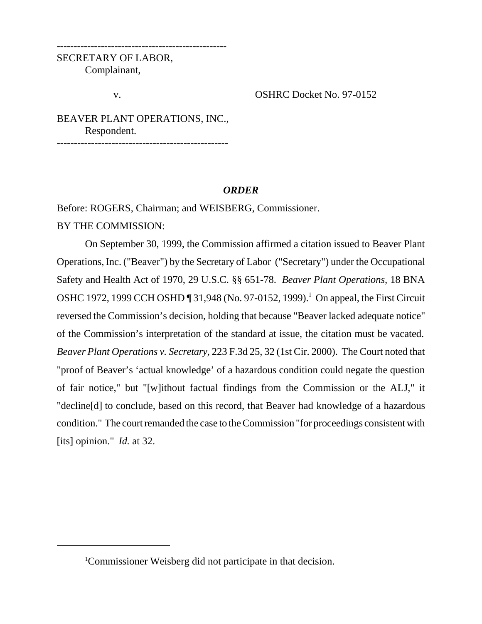SECRETARY OF LABOR, Complainant,

v. OSHRC Docket No. 97-0152

BEAVER PLANT OPERATIONS, INC., Respondent.

--------------------------------------------------

## *ORDER*

Before: ROGERS, Chairman; and WEISBERG, Commissioner.

--------------------------------------------------

BY THE COMMISSION:

On September 30, 1999, the Commission affirmed a citation issued to Beaver Plant Operations, Inc. ("Beaver") by the Secretary of Labor ("Secretary") under the Occupational Safety and Health Act of 1970, 29 U.S.C. §§ 651-78. *Beaver Plant Operations,* 18 BNA OSHC 1972, 1999 CCH OSHD ¶ 31,948 (No. 97-0152, 1999).<sup>1</sup> On appeal, the First Circuit reversed the Commission's decision, holding that because "Beaver lacked adequate notice" of the Commission's interpretation of the standard at issue, the citation must be vacated. *Beaver Plant Operations v. Secretary,* 223 F.3d 25, 32 (1st Cir. 2000). The Court noted that "proof of Beaver's 'actual knowledge' of a hazardous condition could negate the question of fair notice," but "[w]ithout factual findings from the Commission or the ALJ," it "decline[d] to conclude, based on this record, that Beaver had knowledge of a hazardous condition." The court remanded the case to the Commission "for proceedings consistent with [its] opinion." *Id.* at 32.

<sup>1</sup> Commissioner Weisberg did not participate in that decision.